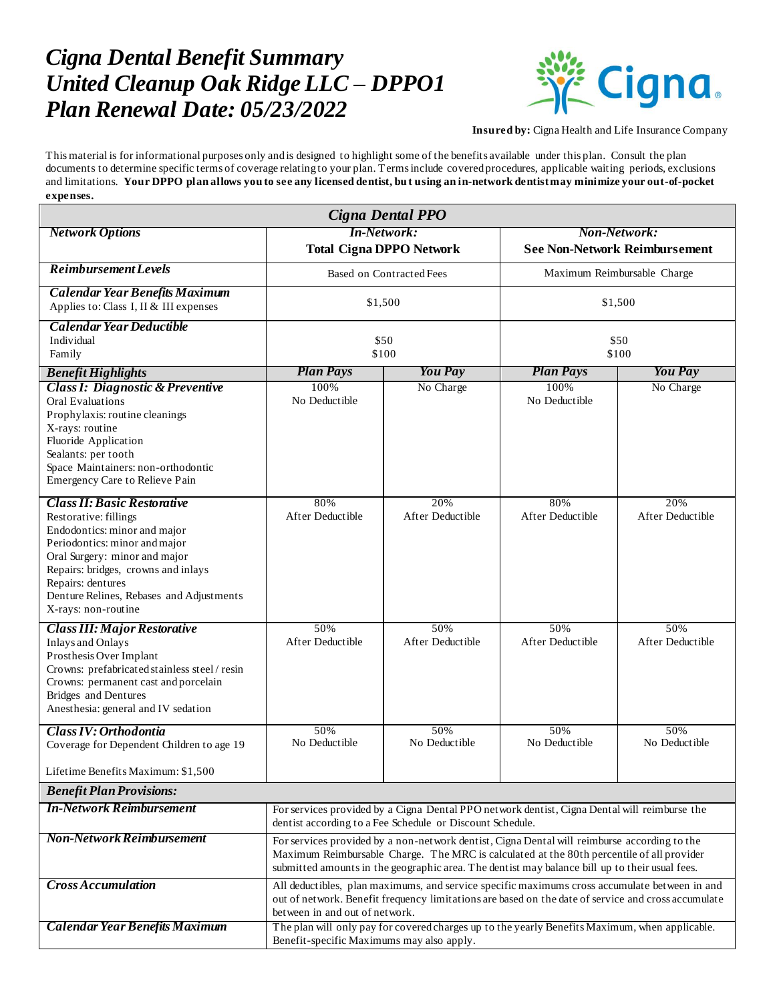## *Cigna Dental Benefit Summary United Cleanup Oak Ridge LLC – DPPO1 Plan Renewal Date: 05/23/2022*



**Insured by:** Cigna Health and Life Insurance Company

This material is for informational purposes only and is designed to highlight some of the benefits available under this plan. Consult the plan documents to determine specific terms of coverage relating to your plan. Terms include covered procedures, applicable waiting periods, exclusions and limitations. **Your DPPO plan allows you to see any licensed dentist, bu t using an in-network dentist may minimize your out-of-pocket expenses.**

| Cigna Dental PPO                                                                                                                                                                                                                                                                             |                                                                                                                                                                                                                                                                                             |                         |                                                      |                         |
|----------------------------------------------------------------------------------------------------------------------------------------------------------------------------------------------------------------------------------------------------------------------------------------------|---------------------------------------------------------------------------------------------------------------------------------------------------------------------------------------------------------------------------------------------------------------------------------------------|-------------------------|------------------------------------------------------|-------------------------|
| <b>Network Options</b>                                                                                                                                                                                                                                                                       | <b>In-Network:</b><br><b>Total Cigna DPPO Network</b>                                                                                                                                                                                                                                       |                         | Non-Network:<br><b>See Non-Network Reimbursement</b> |                         |
| <b>Reimbursement Levels</b>                                                                                                                                                                                                                                                                  | <b>Based on Contracted Fees</b>                                                                                                                                                                                                                                                             |                         | Maximum Reimbursable Charge                          |                         |
| <b>Calendar Year Benefits Maximum</b><br>Applies to: Class I, II & III expenses                                                                                                                                                                                                              | \$1,500                                                                                                                                                                                                                                                                                     |                         | \$1,500                                              |                         |
| <b>Calendar Year Deductible</b><br>Individual<br>Family                                                                                                                                                                                                                                      | \$50<br>\$100                                                                                                                                                                                                                                                                               |                         | \$50<br>\$100                                        |                         |
| <b>Benefit Highlights</b>                                                                                                                                                                                                                                                                    | <b>Plan Pays</b>                                                                                                                                                                                                                                                                            | You Pay                 | <b>Plan Pays</b>                                     | You Pay                 |
| <b>Class I: Diagnostic &amp; Preventive</b><br><b>Oral Evaluations</b><br>Prophylaxis: routine cleanings<br>X-rays: routine<br>Fluoride Application<br>Sealants: per tooth<br>Space Maintainers: non-orthodontic<br>Emergency Care to Relieve Pain                                           | 100%<br>No Deductible                                                                                                                                                                                                                                                                       | No Charge               | 100%<br>No Deductible                                | No Charge               |
| <b>Class II: Basic Restorative</b><br>Restorative: fillings<br>Endodontics: minor and major<br>Periodontics: minor and major<br>Oral Surgery: minor and major<br>Repairs: bridges, crowns and inlays<br>Repairs: dentures<br>Denture Relines, Rebases and Adjustments<br>X-rays: non-routine | 80%<br>After Deductible                                                                                                                                                                                                                                                                     | 20%<br>After Deductible | 80%<br>After Deductible                              | 20%<br>After Deductible |
| <b>Class III: Major Restorative</b><br><b>Inlays and Onlays</b><br>Prosthesis Over Implant<br>Crowns: prefabricated stainless steel / resin<br>Crowns: permanent cast and porcelain<br><b>Bridges</b> and Dentures<br>Anesthesia: general and IV sedation                                    | 50%<br>After Deductible                                                                                                                                                                                                                                                                     | 50%<br>After Deductible | 50%<br>After Deductible                              | 50%<br>After Deductible |
| Class IV: Orthodontia                                                                                                                                                                                                                                                                        | 50%<br>No Deductible                                                                                                                                                                                                                                                                        | 50%<br>No Deductible    | 50%<br>No Deductible                                 | 50%<br>No Deductible    |
| Coverage for Dependent Children to age 19                                                                                                                                                                                                                                                    |                                                                                                                                                                                                                                                                                             |                         |                                                      |                         |
| Lifetime Benefits Maximum: \$1,500                                                                                                                                                                                                                                                           |                                                                                                                                                                                                                                                                                             |                         |                                                      |                         |
| <b>Benefit Plan Provisions:</b>                                                                                                                                                                                                                                                              |                                                                                                                                                                                                                                                                                             |                         |                                                      |                         |
| <b>In-Network Reimbursement</b>                                                                                                                                                                                                                                                              | For services provided by a Cigna Dental PPO network dentist, Cigna Dental will reimburse the<br>dentist according to a Fee Schedule or Discount Schedule.                                                                                                                                   |                         |                                                      |                         |
| <b>Non-Network Reimbursement</b>                                                                                                                                                                                                                                                             | For services provided by a non-network dentist, Cigna Dental will reimburse according to the<br>Maximum Reimbursable Charge. The MRC is calculated at the 80th percentile of all provider<br>submitted amounts in the geographic area. The dentist may balance bill up to their usual fees. |                         |                                                      |                         |
| <b>Cross Accumulation</b>                                                                                                                                                                                                                                                                    | All deductibles, plan maximums, and service specific maximums cross accumulate between in and<br>out of network. Benefit frequency limitations are based on the date of service and cross accumulate<br>between in and out of network.                                                      |                         |                                                      |                         |
| <b>Calendar Year Benefits Maximum</b>                                                                                                                                                                                                                                                        | The plan will only pay for covered charges up to the yearly Benefits Maximum, when applicable.<br>Benefit-specific Maximums may also apply.                                                                                                                                                 |                         |                                                      |                         |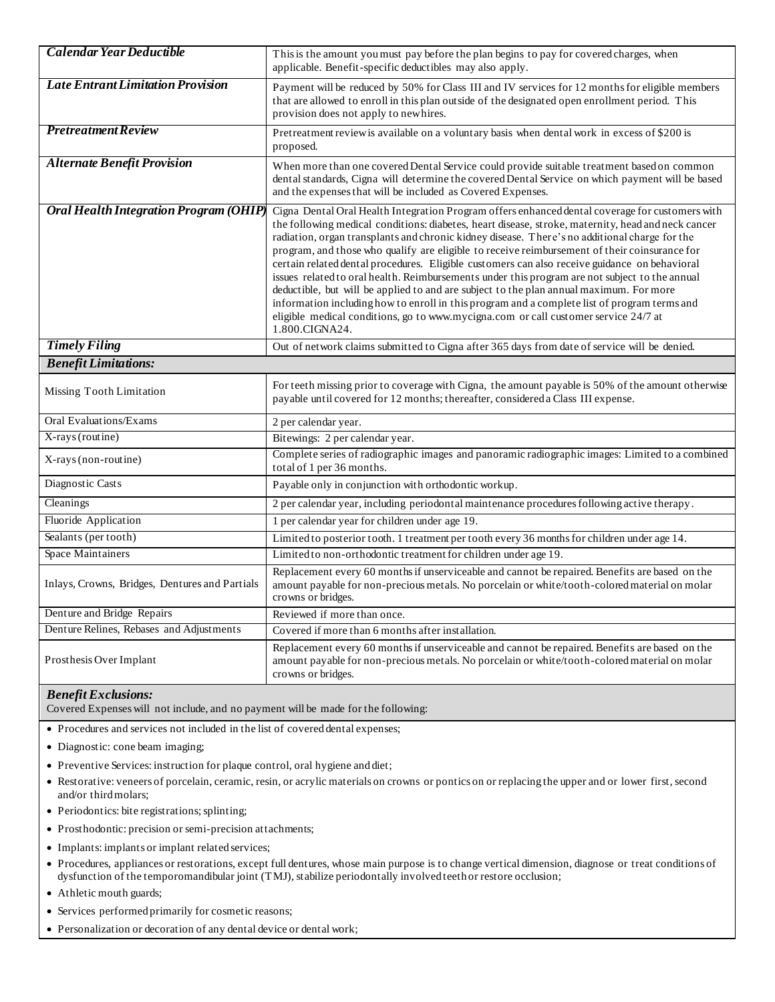| <b>Calendar Year Deductible</b>                | This is the amount you must pay before the plan begins to pay for covered charges, when<br>applicable. Benefit-specific deductibles may also apply.                                                                                                                                                                                                                                                                                                                                                                                                                                                                                                                                                                                                                                                                                                                                                            |  |
|------------------------------------------------|----------------------------------------------------------------------------------------------------------------------------------------------------------------------------------------------------------------------------------------------------------------------------------------------------------------------------------------------------------------------------------------------------------------------------------------------------------------------------------------------------------------------------------------------------------------------------------------------------------------------------------------------------------------------------------------------------------------------------------------------------------------------------------------------------------------------------------------------------------------------------------------------------------------|--|
| Late Entrant Limitation Provision              | Payment will be reduced by 50% for Class III and IV services for 12 months for eligible members<br>that are allowed to enroll in this plan outside of the designated open enrollment period. This<br>provision does not apply to newhires.                                                                                                                                                                                                                                                                                                                                                                                                                                                                                                                                                                                                                                                                     |  |
| <b>Pretreatment Review</b>                     | Pretreatment reviewis available on a voluntary basis when dental work in excess of \$200 is<br>proposed.                                                                                                                                                                                                                                                                                                                                                                                                                                                                                                                                                                                                                                                                                                                                                                                                       |  |
| <b>Alternate Benefit Provision</b>             | When more than one covered Dental Service could provide suitable treatment based on common<br>dental standards, Cigna will determine the covered Dental Service on which payment will be based<br>and the expenses that will be included as Covered Expenses.                                                                                                                                                                                                                                                                                                                                                                                                                                                                                                                                                                                                                                                  |  |
| <b>Oral Health Integration Program (OHIP)</b>  | Cigna Dental Oral Health Integration Program offers enhanced dental coverage for customers with<br>the following medical conditions: diabetes, heart disease, stroke, maternity, head and neck cancer<br>radiation, organ transplants and chronic kidney disease. There's no additional charge for the<br>program, and those who qualify are eligible to receive reimbursement of their coinsurance for<br>certain related dental procedures. Eligible customers can also receive guidance on behavioral<br>issues related to oral health. Reimbursements under this program are not subject to the annual<br>deductible, but will be applied to and are subject to the plan annual maximum. For more<br>information including how to enroll in this program and a complete list of program terms and<br>eligible medical conditions, go to www.mycigna.com or call customer service 24/7 at<br>1.800.CIGNA24. |  |
| <b>Timely Filing</b>                           | Out of network claims submitted to Cigna after 365 days from date of service will be denied.                                                                                                                                                                                                                                                                                                                                                                                                                                                                                                                                                                                                                                                                                                                                                                                                                   |  |
| <b>Benefit Limitations:</b>                    |                                                                                                                                                                                                                                                                                                                                                                                                                                                                                                                                                                                                                                                                                                                                                                                                                                                                                                                |  |
| Missing Tooth Limitation                       | For teeth missing prior to coverage with Cigna, the amount payable is 50% of the amount otherwise<br>payable until covered for 12 months; thereafter, considered a Class III expense.                                                                                                                                                                                                                                                                                                                                                                                                                                                                                                                                                                                                                                                                                                                          |  |
| Oral Evaluations/Exams                         | 2 per calendar year.                                                                                                                                                                                                                                                                                                                                                                                                                                                                                                                                                                                                                                                                                                                                                                                                                                                                                           |  |
| X-rays (routine)                               | Bitewings: 2 per calendar year.                                                                                                                                                                                                                                                                                                                                                                                                                                                                                                                                                                                                                                                                                                                                                                                                                                                                                |  |
| X-rays (non-routine)                           | Complete series of radiographic images and panoramic radiographic images: Limited to a combined<br>total of 1 per 36 months.                                                                                                                                                                                                                                                                                                                                                                                                                                                                                                                                                                                                                                                                                                                                                                                   |  |
| Diagnostic Casts                               | Payable only in conjunction with orthodontic workup.                                                                                                                                                                                                                                                                                                                                                                                                                                                                                                                                                                                                                                                                                                                                                                                                                                                           |  |
| Cleanings                                      | 2 per calendar year, including periodontal maintenance procedures following active therapy.                                                                                                                                                                                                                                                                                                                                                                                                                                                                                                                                                                                                                                                                                                                                                                                                                    |  |
| Fluoride Application                           | 1 per calendar year for children under age 19.                                                                                                                                                                                                                                                                                                                                                                                                                                                                                                                                                                                                                                                                                                                                                                                                                                                                 |  |
| Sealants (per tooth)                           | Limited to posterior tooth. 1 treatment per tooth every 36 months for children under age 14.                                                                                                                                                                                                                                                                                                                                                                                                                                                                                                                                                                                                                                                                                                                                                                                                                   |  |
| Space Maintainers                              | Limited to non-orthodontic treatment for children under age 19.                                                                                                                                                                                                                                                                                                                                                                                                                                                                                                                                                                                                                                                                                                                                                                                                                                                |  |
| Inlays, Crowns, Bridges, Dentures and Partials | Replacement every 60 months if unserviceable and cannot be repaired. Benefits are based on the<br>amount payable for non-precious metals. No porcelain or white/tooth-colored material on molar<br>crowns or bridges.                                                                                                                                                                                                                                                                                                                                                                                                                                                                                                                                                                                                                                                                                          |  |
| Denture and Bridge Repairs                     | Reviewed if more than once.                                                                                                                                                                                                                                                                                                                                                                                                                                                                                                                                                                                                                                                                                                                                                                                                                                                                                    |  |
| Denture Relines, Rebases and Adjustments       | Covered if more than 6 months after installation.                                                                                                                                                                                                                                                                                                                                                                                                                                                                                                                                                                                                                                                                                                                                                                                                                                                              |  |
| Prosthesis Over Implant                        | Replacement every 60 months if unserviceable and cannot be repaired. Benefits are based on the<br>amount payable for non-precious metals. No porcelain or white/tooth-colored material on molar<br>crowns or bridges.                                                                                                                                                                                                                                                                                                                                                                                                                                                                                                                                                                                                                                                                                          |  |

## *Benefit Exclusions:*

Covered Expenses will not include, and no payment will be made for the following:

Procedures and services not included in the list of covered dental expenses;

Diagnostic: cone beam imaging;

- Preventive Services: instruction for plaque control, oral hygiene and diet;
- Restorative: veneers of porcelain, ceramic, resin, or acrylic materials on crowns or pontics on or replacing the upper and or lower first, second and/or third molars;
- Periodontics: bite registrations; splinting;
- Prosthodontic: precision or semi-precision attachments;
- Implants: implants or implant related services;
- Procedures, appliances or restorations, except full dentures, whose main purpose is to change vertical dimension, diagnose or treat conditions of dysfunction of the temporomandibular joint (TMJ), stabilize periodontally involved teeth or restore occlusion;
- Athletic mouth guards;
- Services performed primarily for cosmetic reasons;
- Personalization or decoration of any dental device or dental work;